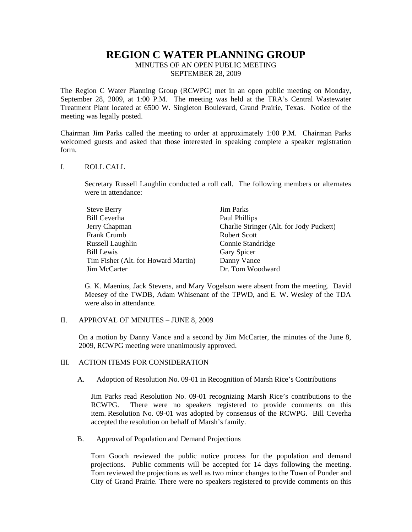# **REGION C WATER PLANNING GROUP**

MINUTES OF AN OPEN PUBLIC MEETING SEPTEMBER 28, 2009

The Region C Water Planning Group (RCWPG) met in an open public meeting on Monday, September 28, 2009, at 1:00 P.M. The meeting was held at the TRA's Central Wastewater Treatment Plant located at 6500 W. Singleton Boulevard, Grand Prairie, Texas. Notice of the meeting was legally posted.

Chairman Jim Parks called the meeting to order at approximately 1:00 P.M. Chairman Parks welcomed guests and asked that those interested in speaking complete a speaker registration form.

### I. ROLL CALL

Secretary Russell Laughlin conducted a roll call. The following members or alternates were in attendance:

| <b>Steve Berry</b>                  | <b>Jim Parks</b>                         |
|-------------------------------------|------------------------------------------|
| <b>Bill Ceverha</b>                 | Paul Phillips                            |
| Jerry Chapman                       | Charlie Stringer (Alt. for Jody Puckett) |
| Frank Crumb                         | <b>Robert Scott</b>                      |
| Russell Laughlin                    | Connie Standridge                        |
| Bill Lewis                          | Gary Spicer                              |
| Tim Fisher (Alt. for Howard Martin) | Danny Vance                              |
| Jim McCarter                        | Dr. Tom Woodward                         |

G. K. Maenius, Jack Stevens, and Mary Vogelson were absent from the meeting. David Meesey of the TWDB, Adam Whisenant of the TPWD, and E. W. Wesley of the TDA were also in attendance.

### II. APPROVAL OF MINUTES – JUNE 8, 2009

On a motion by Danny Vance and a second by Jim McCarter, the minutes of the June 8, 2009, RCWPG meeting were unanimously approved.

## III. ACTION ITEMS FOR CONSIDERATION

A. Adoption of Resolution No. 09-01 in Recognition of Marsh Rice's Contributions

Jim Parks read Resolution No. 09-01 recognizing Marsh Rice's contributions to the RCWPG. There were no speakers registered to provide comments on this item. Resolution No. 09-01 was adopted by consensus of the RCWPG. Bill Ceverha accepted the resolution on behalf of Marsh's family.

B. Approval of Population and Demand Projections

Tom Gooch reviewed the public notice process for the population and demand projections. Public comments will be accepted for 14 days following the meeting. Tom reviewed the projections as well as two minor changes to the Town of Ponder and City of Grand Prairie. There were no speakers registered to provide comments on this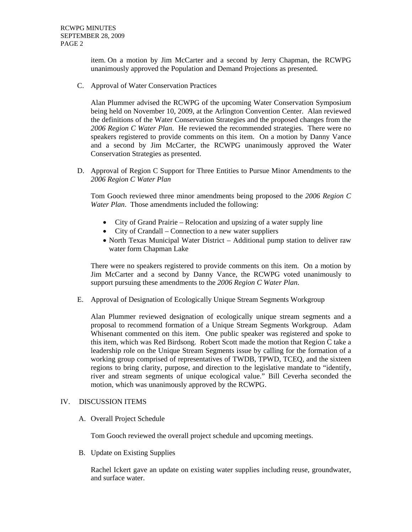item. On a motion by Jim McCarter and a second by Jerry Chapman, the RCWPG unanimously approved the Population and Demand Projections as presented.

C. Approval of Water Conservation Practices

Alan Plummer advised the RCWPG of the upcoming Water Conservation Symposium being held on November 10, 2009, at the Arlington Convention Center. Alan reviewed the definitions of the Water Conservation Strategies and the proposed changes from the *2006 Region C Water Plan*. He reviewed the recommended strategies. There were no speakers registered to provide comments on this item. On a motion by Danny Vance and a second by Jim McCarter, the RCWPG unanimously approved the Water Conservation Strategies as presented.

D. Approval of Region C Support for Three Entities to Pursue Minor Amendments to the *2006 Region C Water Plan*

Tom Gooch reviewed three minor amendments being proposed to the *2006 Region C Water Plan*. Those amendments included the following:

- City of Grand Prairie Relocation and upsizing of a water supply line
- City of Crandall Connection to a new water suppliers
- North Texas Municipal Water District Additional pump station to deliver raw water form Chapman Lake

There were no speakers registered to provide comments on this item. On a motion by Jim McCarter and a second by Danny Vance, the RCWPG voted unanimously to support pursuing these amendments to the *2006 Region C Water Plan*.

E. Approval of Designation of Ecologically Unique Stream Segments Workgroup

Alan Plummer reviewed designation of ecologically unique stream segments and a proposal to recommend formation of a Unique Stream Segments Workgroup. Adam Whisenant commented on this item. One public speaker was registered and spoke to this item, which was Red Birdsong. Robert Scott made the motion that Region C take a leadership role on the Unique Stream Segments issue by calling for the formation of a working group comprised of representatives of TWDB, TPWD, TCEQ, and the sixteen regions to bring clarity, purpose, and direction to the legislative mandate to "identify, river and stream segments of unique ecological value." Bill Ceverha seconded the motion, which was unanimously approved by the RCWPG.

## IV. DISCUSSION ITEMS

A. Overall Project Schedule

Tom Gooch reviewed the overall project schedule and upcoming meetings.

B. Update on Existing Supplies

Rachel Ickert gave an update on existing water supplies including reuse, groundwater, and surface water.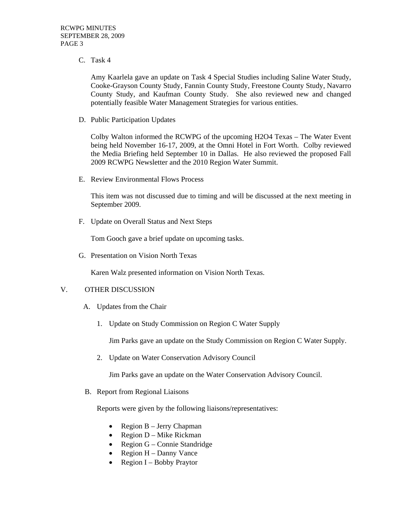C. Task 4

Amy Kaarlela gave an update on Task 4 Special Studies including Saline Water Study, Cooke-Grayson County Study, Fannin County Study, Freestone County Study, Navarro County Study, and Kaufman County Study. She also reviewed new and changed potentially feasible Water Management Strategies for various entities.

D. Public Participation Updates

Colby Walton informed the RCWPG of the upcoming H2O4 Texas – The Water Event being held November 16-17, 2009, at the Omni Hotel in Fort Worth. Colby reviewed the Media Briefing held September 10 in Dallas. He also reviewed the proposed Fall 2009 RCWPG Newsletter and the 2010 Region Water Summit.

E. Review Environmental Flows Process

This item was not discussed due to timing and will be discussed at the next meeting in September 2009.

F. Update on Overall Status and Next Steps

Tom Gooch gave a brief update on upcoming tasks.

G. Presentation on Vision North Texas

Karen Walz presented information on Vision North Texas.

# V. OTHER DISCUSSION

- A. Updates from the Chair
	- 1. Update on Study Commission on Region C Water Supply

Jim Parks gave an update on the Study Commission on Region C Water Supply.

2. Update on Water Conservation Advisory Council

Jim Parks gave an update on the Water Conservation Advisory Council.

B. Report from Regional Liaisons

Reports were given by the following liaisons/representatives:

- Region B Jerry Chapman
- Region D Mike Rickman
- Region G Connie Standridge
- Region  $H$  Danny Vance
- Region I Bobby Praytor